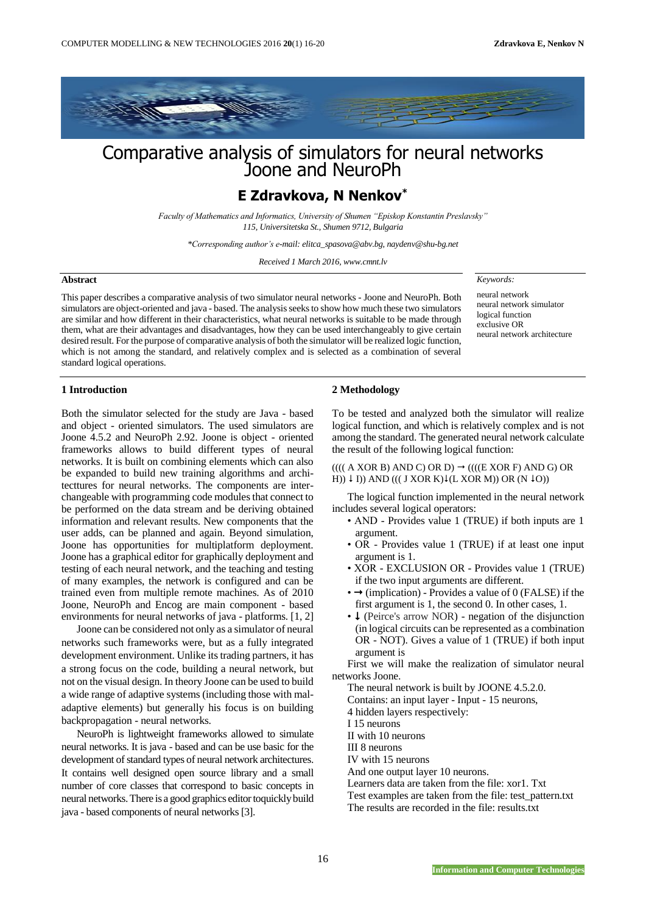

# Comparative analysis of simulators for neural networks Joone and NeuroPh

## **E Zdravkova, N Nenkov\***

*Faculty of Mathematics and Informatics, University of Shumen "Episkop Konstantin Preslavsky" 115, Universitetska St., Shumen 9712, Bulgaria*

*\*Corresponding author's e-mail: elitca\_spasova@abv.bg, naydenv@shu-bg.net*

*Received 1 March 2016, www.cmnt.lv*

#### **Abstract**

This paper describes a comparative analysis of two simulator neural networks - Joone and NeuroPh. Both simulators are object-oriented and java - based. The analysis seeks to show how much these two simulators are similar and how different in their characteristics, what neural networks is suitable to be made through them, what are their advantages and disadvantages, how they can be used interchangeably to give certain desired result. For the purpose of comparative analysis of both the simulator will be realized logic function, which is not among the standard, and relatively complex and is selected as a combination of several standard logical operations.

*Keywords:* 

neural network neural network simulator logical function exclusive OR neural network architecture

#### **1 Introduction**

Both the simulator selected for the study are Java - based and object - oriented simulators. The used simulators are Joone 4.5.2 and NeuroPh 2.92. Joone is object - oriented frameworks allows to build different types of neural networks. It is built on combining elements which can also be expanded to build new training algorithms and architecttures for neural networks. The components are interchangeable with programming code modules that connect to be performed on the data stream and be deriving obtained information and relevant results. New components that the user adds, can be planned and again. Beyond simulation, Joone has opportunities for multiplatform deployment. Joone has a graphical editor for graphically deployment and testing of each neural network, and the teaching and testing of many examples, the network is configured and can be trained even from multiple remote machines. As of 2010 Joone, NeuroPh and Encog are main component - based environments for neural networks of java - platforms. [1, 2]

Joone can be considered not only as a simulator of neural networks such frameworks were, but as a fully integrated development environment. Unlike its trading partners, it has a strong focus on the code, building a neural network, but not on the visual design. In theory Joone can be used to build a wide range of adaptive systems (including those with maladaptive elements) but generally his focus is on building backpropagation - neural networks.

NeuroPh is lightweight frameworks allowed to simulate neural networks. It is java - based and can be use basic for the development of standard types of neural network architectures. It contains well designed open source library and a small number of core classes that correspond to basic concepts in neural networks. There is a good graphics editor toquickly build java - based components of neural networks [3].

### **2 Methodology**

To be tested and analyzed both the simulator will realize logical function, and which is relatively complex and is not among the standard. The generated neural network calculate the result of the following logical function:

 $(((A XOR B) AND C) OR D) \rightarrow (((E XOR F) AND G) OR$ H))  $\downarrow$  I)) AND ((( J XOR K) $\downarrow$ (L XOR M)) OR (N  $\downarrow$ O))

The logical function implemented in the neural network includes several logical operators:

- AND Provides value 1 (TRUE) if both inputs are 1 argument.
- OR Provides value 1 (TRUE) if at least one input argument is 1.
- XOR EXCLUSION OR Provides value 1 (TRUE) if the two input arguments are different.
- $\rightarrow$  (implication) Provides a value of 0 (FALSE) if the first argument is 1, the second 0. In other cases, 1.
- $\cdot \downarrow$  (Peirce's arrow NOR) negation of the disjunction (in logical circuits can be represented as a combination OR - NOT). Gives a value of 1 (TRUE) if both input argument is

First we will make the realization of simulator neural networks Joone.

The neural network is built by JOONE 4.5.2.0.

Contains: an input layer - Input - 15 neurons,

4 hidden layers respectively:

I 15 neurons

II with 10 neurons

III 8 neurons

IV with 15 neurons

And one output layer 10 neurons.

Learners data are taken from the file: xor1. Txt

Test examples are taken from the file: test\_pattern.txt

The results are recorded in the file: results.txt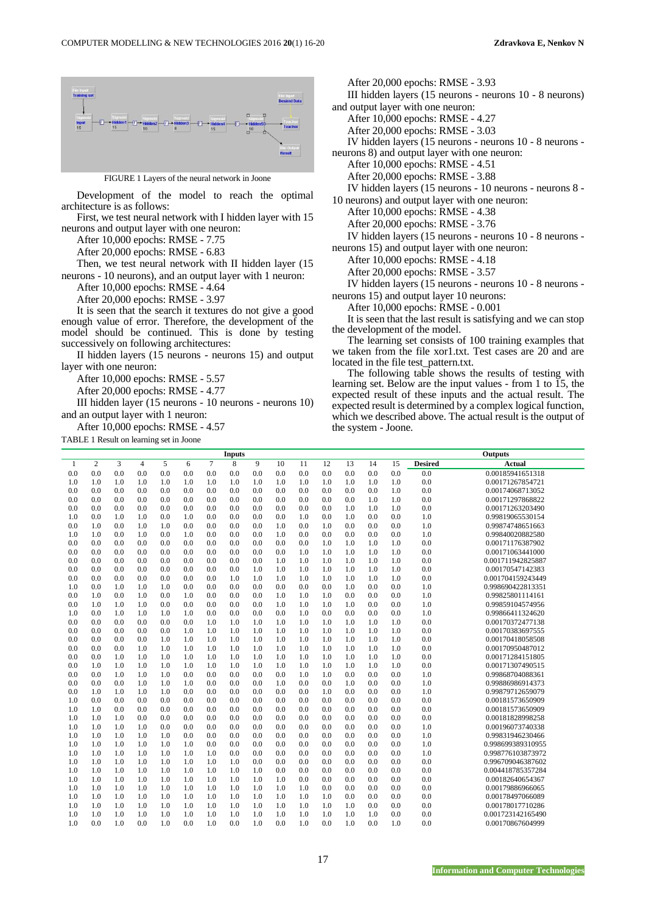

FIGURE 1 Layers of the neural network in Joone

Development of the model to reach the optimal architecture is as follows:

First, we test neural network with I hidden layer with 15 neurons and output layer with one neuron:

After 10,000 epochs: RMSE - 7.75

After 20,000 epochs: RMSE - 6.83

Then, we test neural network with II hidden layer (15 neurons - 10 neurons), and an output layer with 1 neuron:

After 10,000 epochs: RMSE - 4.64

After 20,000 epochs: RMSE - 3.97

It is seen that the search it textures do not give a good enough value of error. Therefore, the development of the model should be continued. This is done by testing successively on following architectures:

II hidden layers (15 neurons - neurons 15) and output layer with one neuron:

After 10,000 epochs: RMSE - 5.57

After 20,000 epochs: RMSE - 4.77

III hidden layer (15 neurons - 10 neurons - neurons 10) and an output layer with 1 neuron:

After 10,000 epochs: RMSE - 4.57

TABLE 1 Result on learning set in Joone

After 20,000 epochs: RMSE - 3.93 III hidden layers (15 neurons - neurons 10 - 8 neurons) and output layer with one neuron: After 10,000 epochs: RMSE - 4.27 After 20,000 epochs: RMSE - 3.03 IV hidden layers (15 neurons - neurons 10 - 8 neurons neurons 8) and output layer with one neuron: After 10,000 epochs: RMSE - 4.51 After 20,000 epochs: RMSE - 3.88 IV hidden layers (15 neurons - 10 neurons - neurons 8 - 10 neurons) and output layer with one neuron: After 10,000 epochs: RMSE - 4.38 After 20,000 epochs: RMSE - 3.76 IV hidden layers (15 neurons - neurons 10 - 8 neurons neurons 15) and output layer with one neuron: After 10,000 epochs: RMSE - 4.18 After 20,000 epochs: RMSE - 3.57

IV hidden layers (15 neurons - neurons 10 - 8 neurons neurons 15) and output layer 10 neurons:

After 10,000 epochs: RMSE - 0.001

It is seen that the last result is satisfying and we can stop the development of the model.

The learning set consists of 100 training examples that we taken from the file xor1.txt. Test cases are 20 and are located in the file test\_pattern.txt.

The following table shows the results of testing with learning set. Below are the input values - from 1 to 15, the expected result of these inputs and the actual result. The expected result is determined by a complex logical function, which we described above. The actual result is the output of the system - Joone.

|              |                |     |                |     |     |        | <b>Inputs</b> |     |     |     |     |     |     |     |                | <b>Outputs</b>    |
|--------------|----------------|-----|----------------|-----|-----|--------|---------------|-----|-----|-----|-----|-----|-----|-----|----------------|-------------------|
| $\mathbf{1}$ | $\mathfrak{2}$ | 3   | $\overline{4}$ | 5   | 6   | $\tau$ | 8             | 9   | 10  | 11  | 12  | 13  | 14  | 15  | <b>Desired</b> | Actual            |
| 0.0          | 0.0            | 0.0 | 0.0            | 0.0 | 0.0 | 0.0    | 0.0           | 0.0 | 0.0 | 0.0 | 0.0 | 0.0 | 0.0 | 0.0 | 0.0            | 0.00185941651318  |
| 1.0          | 1.0            | 1.0 | 1.0            | 1.0 | 1.0 | 1.0    | 1.0           | 1.0 | 1.0 | 1.0 | 1.0 | 1.0 | 1.0 | 1.0 | 0.0            | 0.00171267854721  |
| 0.0          | 0.0            | 0.0 | 0.0            | 0.0 | 0.0 | 0.0    | 0.0           | 0.0 | 0.0 | 0.0 | 0.0 | 0.0 | 0.0 | 1.0 | 0.0            | 0.00174068713052  |
| 0.0          | 0.0            | 0.0 | 0.0            | 0.0 | 0.0 | 0.0    | 0.0           | 0.0 | 0.0 | 0.0 | 0.0 | 0.0 | 1.0 | 1.0 | 0.0            | 0.00171297868822  |
| 0.0          | 0.0            | 0.0 | 0.0            | 0.0 | 0.0 | 0.0    | 0.0           | 0.0 | 0.0 | 0.0 | 0.0 | 1.0 | 1.0 | 1.0 | 0.0            | 0.00171263203490  |
| 1.0          | 0.0            | 1.0 | 1.0            | 0.0 | 1.0 | 0.0    | 0.0           | 0.0 | 0.0 | 1.0 | 0.0 | 1.0 | 0.0 | 0.0 | 1.0            | 0.99819065530154  |
| 0.0          | 1.0            | 0.0 | 1.0            | 1.0 | 0.0 | 0.0    | 0.0           | 0.0 | 1.0 | 0.0 | 1.0 | 0.0 | 0.0 | 0.0 | 1.0            | 0.99874748651663  |
| 1.0          | 1.0            | 0.0 | 1.0            | 0.0 | 1.0 | 0.0    | 0.0           | 0.0 | 1.0 | 0.0 | 0.0 | 0.0 | 0.0 | 0.0 | 1.0            | 0.99840020882580  |
| 0.0          | 0.0            | 0.0 | 0.0            | 0.0 | 0.0 | 0.0    | 0.0           | 0.0 | 0.0 | 0.0 | 1.0 | 1.0 | 1.0 | 1.0 | 0.0            | 0.00171176387902  |
| 0.0          | 0.0            | 0.0 | 0.0            | 0.0 | 0.0 | 0.0    | 0.0           | 0.0 | 0.0 | 1.0 | 1.0 | 1.0 | 1.0 | 1.0 | 0.0            | 0.00171063441000  |
| 0.0          | 0.0            | 0.0 | 0.0            | 0.0 | 0.0 | 0.0    | 0.0           | 0.0 | 1.0 | 1.0 | 1.0 | 1.0 | 1.0 | 1.0 | 0.0            | 0.001711942825887 |
| 0.0          | 0.0            | 0.0 | 0.0            | 0.0 | 0.0 | 0.0    | 0.0           | 1.0 | 1.0 | 1.0 | 1.0 | 1.0 | 1.0 | 1.0 | 0.0            | 0.00170547142383  |
| 0.0          | 0.0            | 0.0 | 0.0            | 0.0 | 0.0 | 0.0    | 1.0           | 1.0 | 1.0 | 1.0 | 1.0 | 1.0 | 1.0 | 1.0 | 0.0            | 0.001704159243449 |
| 1.0          | 0.0            | 1.0 | 1.0            | 1.0 | 0.0 | 0.0    | 0.0           | 0.0 | 0.0 | 0.0 | 0.0 | 1.0 | 0.0 | 0.0 | 1.0            | 0.998690422813351 |
| 0.0          | 1.0            | 0.0 | 1.0            | 0.0 | 1.0 | 0.0    | 0.0           | 0.0 | 1.0 | 1.0 | 1.0 | 0.0 | 0.0 | 0.0 | 1.0            | 0.99825801114161  |
| 0.0          | 1.0            | 1.0 | 1.0            | 0.0 | 0.0 | 0.0    | 0.0           | 0.0 | 1.0 | 1.0 | 1.0 | 1.0 | 0.0 | 0.0 | 1.0            | 0.99859104574956  |
| 1.0          | 0.0            | 1.0 | 1.0            | 1.0 | 1.0 | 0.0    | 0.0           | 0.0 | 0.0 | 1.0 | 0.0 | 0.0 | 0.0 | 0.0 | 1.0            | 0.99866411324620  |
| 0.0          | 0.0            | 0.0 | 0.0            | 0.0 | 0.0 | 1.0    | 1.0           | 1.0 | 1.0 | 1.0 | 1.0 | 1.0 | 1.0 | 1.0 | 0.0            | 0.00170372477138  |
| 0.0          | 0.0            | 0.0 | 0.0            | 0.0 | 1.0 | 1.0    | 1.0           | 1.0 | 1.0 | 1.0 | 1.0 | 1.0 | 1.0 | 1.0 | 0.0            | 0.00170383697555  |
| 0.0          | 0.0            | 0.0 | 0.0            | 1.0 | 1.0 | 1.0    | 1.0           | 1.0 | 1.0 | 1.0 | 1.0 | 1.0 | 1.0 | 1.0 | 0.0            | 0.00170418058508  |
| 0.0          | 0.0            | 0.0 | 1.0            | 1.0 | 1.0 | 1.0    | 1.0           | 1.0 | 1.0 | 1.0 | 1.0 | 1.0 | 1.0 | 1.0 | 0.0            | 0.00170950487012  |
| 0.0          | 0.0            | 1.0 | 1.0            | 1.0 | 1.0 | 1.0    | 1.0           | 1.0 | 1.0 | 1.0 | 1.0 | 1.0 | 1.0 | 1.0 | 0.0            | 0.00171284151805  |
| 0.0          | 1.0            | 1.0 | 1.0            | 1.0 | 1.0 | 1.0    | 1.0           | 1.0 | 1.0 | 1.0 | 1.0 | 1.0 | 1.0 | 1.0 | 0.0            | 0.00171307490515  |
| 0.0          | 0.0            | 1.0 | 1.0            | 1.0 | 0.0 | 0.0    | 0.0           | 0.0 | 0.0 | 1.0 | 1.0 | 0.0 | 0.0 | 0.0 | 1.0            | 0.99868704088361  |
| 0.0          | 0.0            | 0.0 | 1.0            | 1.0 | 1.0 | 0.0    | 0.0           | 0.0 | 1.0 | 0.0 | 0.0 | 1.0 | 0.0 | 0.0 | 1.0            | 0.99886986914373  |
| 0.0          | 1.0            | 1.0 | 1.0            | 1.0 | 0.0 | 0.0    | 0.0           | 0.0 | 0.0 | 0.0 | 1.0 | 0.0 | 0.0 | 0.0 | 1.0            | 0.99879712659079  |
| 1.0          | 0.0            | 0.0 | 0.0            | 0.0 | 0.0 | 0.0    | 0.0           | 0.0 | 0.0 | 0.0 | 0.0 | 0.0 | 0.0 | 0.0 | 0.0            | 0.00181573650909  |
| 1.0          | 1.0            | 0.0 | 0.0            | 0.0 | 0.0 | 0.0    | 0.0           | 0.0 | 0.0 | 0.0 | 0.0 | 0.0 | 0.0 | 0.0 | 0.0            | 0.00181573650909  |
| 1.0          | 1.0            | 1.0 | 0.0            | 0.0 | 0.0 | 0.0    | 0.0           | 0.0 | 0.0 | 0.0 | 0.0 | 0.0 | 0.0 | 0.0 | 0.0            | 0.00181828998258  |
| 1.0          | 1.0            | 1.0 | 1.0            | 0.0 | 0.0 | 0.0    | 0.0           | 0.0 | 0.0 | 0.0 | 0.0 | 0.0 | 0.0 | 0.0 | 1.0            | 0.00196073740338  |
| 1.0          | 1.0            | 1.0 | 1.0            | 1.0 | 0.0 | 0.0    | 0.0           | 0.0 | 0.0 | 0.0 | 0.0 | 0.0 | 0.0 | 0.0 | 1.0            | 0.99831946230466  |
| 1.0          | 1.0            | 1.0 | 1.0            | 1.0 | 1.0 | 0.0    | 0.0           | 0.0 | 0.0 | 0.0 | 0.0 | 0.0 | 0.0 | 0.0 | 1.0            | 0.998699389310955 |
| 1.0          | 1.0            | 1.0 | 1.0            | 1.0 | 1.0 | 1.0    | 0.0           | 0.0 | 0.0 | 0.0 | 0.0 | 0.0 | 0.0 | 0.0 | 1.0            | 0.998776103873972 |
| 1.0          | 1.0            | 1.0 | 1.0            | 1.0 | 1.0 | 1.0    | 1.0           | 0.0 | 0.0 | 0.0 | 0.0 | 0.0 | 0.0 | 0.0 | 0.0            | 0.996709046387602 |
| 1.0          | 1.0            | 1.0 | 1.0            | 1.0 | 1.0 | 1.0    | 1.0           | 1.0 | 0.0 | 0.0 | 0.0 | 0.0 | 0.0 | 0.0 | 0.0            | 0.004418785357284 |
| 1.0          | 1.0            | 1.0 | 1.0            | 1.0 | 1.0 | 1.0    | 1.0           | 1.0 | 1.0 | 0.0 | 0.0 | 0.0 | 0.0 | 0.0 | 0.0            | 0.00182640654367  |
| 1.0          | 1.0            | 1.0 | 1.0            | 1.0 | 1.0 | 1.0    | 1.0           | 1.0 | 1.0 | 1.0 | 0.0 | 0.0 | 0.0 | 0.0 | 0.0            | 0.00179886966065  |
| 1.0          | 1.0            | 1.0 | 1.0            | 1.0 | 1.0 | 1.0    | 1.0           | 1.0 | 1.0 | 1.0 | 1.0 | 0.0 | 0.0 | 0.0 | 0.0            | 0.00178497066089  |
| 1.0          | 1.0            | 1.0 | 1.0            | 1.0 | 1.0 | 1.0    | 1.0           | 1.0 | 1.0 | 1.0 | 1.0 | 1.0 | 0.0 | 0.0 | 0.0            | 0.00178017710286  |
| 1.0          | 1.0            | 1.0 | 1.0            | 1.0 | 1.0 | 1.0    | 1.0           | 1.0 | 1.0 | 1.0 | 1.0 | 1.0 | 1.0 | 0.0 | 0.0            | 0.001723142165490 |
| 1.0          | 0.0            | 1.0 | 0.0            | 1.0 | 0.0 | 1.0    | 0.0           | 1.0 | 0.0 | 1.0 | 0.0 | 1.0 | 0.0 | 1.0 | 0.0            | 0.00170867604999  |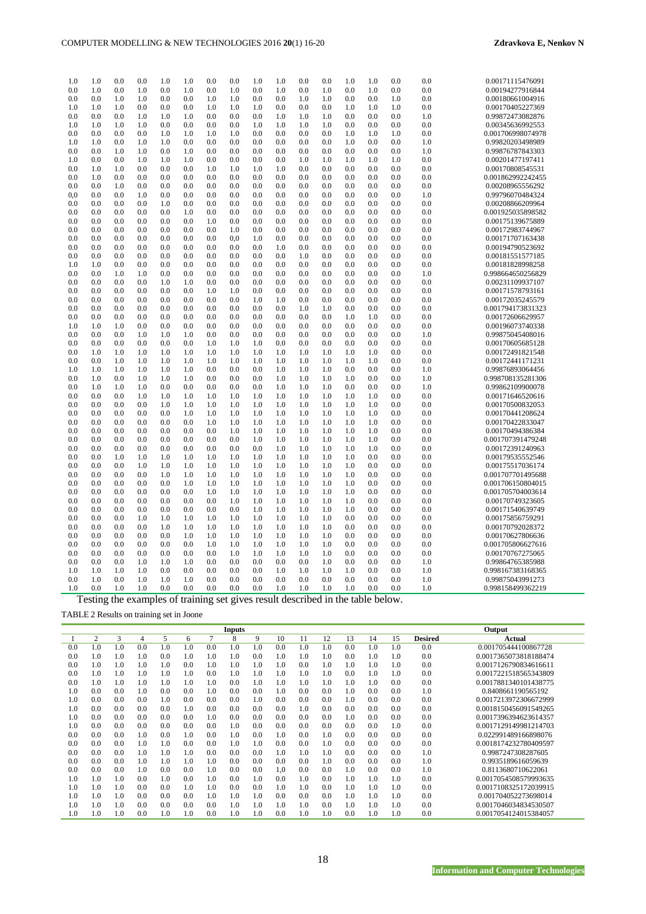| 1.0      | 1.0      | 0.0 | 0.0        | 1.0      | 1.0 | 0.0 | 0.0 | 1.0      | 1.0 | $_{0.0}$ | 0.0 | 1.0 | 1.0 | $_{0.0}$ | 0.0      | 0.00171115476091  |
|----------|----------|-----|------------|----------|-----|-----|-----|----------|-----|----------|-----|-----|-----|----------|----------|-------------------|
| 0.0      | 1.0      | 0.0 | 1.0        | 0.0      | 1.0 | 0.0 | 1.0 | 0.0      | 1.0 | 0.0      | 1.0 | 0.0 | 1.0 | 0.0      | 0.0      | 0.00194277916844  |
| 0.0      | 0.0      | 1.0 | 1.0        | 0.0      | 0.0 | 1.0 | 1.0 | 0.0      | 0.0 | 1.0      | 1.0 | 0.0 | 0.0 | 1.0      | $_{0.0}$ | 0.00180661004916  |
| 1.0      | 1.0      | 1.0 | 0.0        | 0.0      | 0.0 | 1.0 | 1.0 | 1.0      | 0.0 | $_{0.0}$ | 0.0 | 1.0 | 1.0 | 1.0      | $_{0.0}$ | 0.00170405227369  |
| $_{0.0}$ | 0.0      | 0.0 | 1.0        | 1.0      | 1.0 | 0.0 | 0.0 | 0.0      | 1.0 | 1.0      | 1.0 | 0.0 | 0.0 | $_{0.0}$ | 1.0      | 0.99872473082876  |
| 1.0      | 1.0      | 1.0 | 1.0        | $_{0.0}$ | 0.0 | 0.0 | 0.0 | 1.0      | 1.0 | 1.0      | 1.0 | 0.0 | 0.0 | 0.0      | $_{0.0}$ | 0.00345636992553  |
| 0.0      | 0.0      | 0.0 | 0.0        | 1.0      | 1.0 | 1.0 | 1.0 | 0.0      | 0.0 | 0.0      | 0.0 | 1.0 | 1.0 | 1.0      | 0.0      | 0.001706998074978 |
| 1.0      | 1.0      | 0.0 | 1.0        | 1.0      | 0.0 | 0.0 | 0.0 | 0.0      | 0.0 | 0.0      | 0.0 | 1.0 | 0.0 | 0.0      | 1.0      | 0.99820203498989  |
| $_{0.0}$ | $_{0.0}$ | 1.0 | 1.0        | 0.0      | 1.0 | 0.0 | 0.0 | 0.0      | 0.0 | 0.0      | 0.0 | 0.0 | 0.0 | 0.0      | 1.0      | 0.99876787843303  |
| 1.0      | 0.0      | 0.0 | 1.0        | 1.0      | 1.0 | 0.0 | 0.0 | 0.0      | 0.0 | 1.0      | 1.0 | 1.0 | 1.0 | 1.0      | $_{0.0}$ | 0.00201477197411  |
| 0.0      | 1.0      | 1.0 | 0.0        | 0.0      | 0.0 | 1.0 | 1.0 | 1.0      | 1.0 | 0.0      | 0.0 | 0.0 | 0.0 | 0.0      | 0.0      | 0.00170808545531  |
| $_{0.0}$ | 1.0      | 0.0 | 0.0        | 0.0      | 0.0 | 0.0 | 0.0 | 0.0      | 0.0 | 0.0      | 0.0 | 0.0 | 0.0 | $_{0.0}$ | 0.0      | 0.001862992242455 |
| 0.0      | 0.0      | 1.0 | 0.0        | 0.0      | 0.0 | 0.0 | 0.0 | 0.0      | 0.0 | 0.0      | 0.0 | 0.0 | 0.0 | 0.0      | 0.0      | 0.00208965556292  |
| $_{0,0}$ | 0.0      | 0.0 | 1.0        | 0.0      | 0.0 | 0.0 | 0.0 | 0.0      | 0.0 | $_{0.0}$ | 0.0 | 0.0 | 0.0 | 0.0      | 1.0      | 0.99796070484324  |
| 0.0      | 0.0      | 0.0 | 0.0        | 1.0      | 0.0 | 0.0 | 0.0 | 0.0      | 0.0 | $_{0.0}$ | 0.0 | 0.0 | 0.0 | 0.0      | 0.0      | 0.00208866209964  |
| $_{0.0}$ | 0.0      | 0.0 | 0.0        | $_{0.0}$ | 1.0 | 0.0 | 0.0 | 0.0      | 0.0 | $_{0.0}$ | 0.0 | 0.0 | 0.0 | $_{0.0}$ | $_{0.0}$ | 0.001925035898582 |
| 0.0      | 0.0      | 0.0 | 0.0        | 0.0      | 0.0 | 1.0 | 0.0 | 0.0      | 0.0 | 0.0      | 0.0 | 0.0 | 0.0 | 0.0      | $_{0.0}$ | 0.00175139675889  |
| 0.0      | 0.0      | 0.0 | 0.0        | 0.0      | 0.0 | 0.0 | 1.0 | 0.0      | 0.0 | 0.0      | 0.0 | 0.0 | 0.0 | $_{0.0}$ | 0.0      | 0.00172983744967  |
| $_{0.0}$ | 0.0      | 0.0 | 0.0        | 0.0      | 0.0 | 0.0 | 0,0 | 1.0      | 0.0 | 0.0      | 0.0 | 0.0 | 0.0 | 0.0      | 0.0      | 0.00171707163438  |
| $_{0.0}$ | $_{0.0}$ | 0.0 | 0.0        | 0.0      | 0.0 | 0.0 | 0.0 | 0.0      | 1.0 | 0.0      | 0.0 | 0.0 | 0.0 | 0.0      | 0.0      | 0.00194790523692  |
| 0.0      | 0.0      | 0.0 | 0.0        | 0.0      | 0.0 | 0.0 | 0.0 | 0.0      | 0.0 | 1.0      | 0.0 | 0.0 | 0.0 | 0.0      | 0.0      | 0.00181551577185  |
| 1.0      | 1.0      | 0.0 | 0.0        | 0.0      | 0.0 | 0.0 | 0.0 | 0.0      | 0.0 | 0.0      | 0.0 | 0.0 | 0.0 | 0.0      | 0.0      | 0.00181828998258  |
| 0.0      | 0.0      | 1.0 | 1.0        | $_{0.0}$ | 0.0 | 0.0 | 0.0 | 0.0      | 0.0 | $_{0.0}$ | 0.0 | 0.0 | 0.0 | 0.0      | 1.0      | 0.998664650256829 |
| 0.0      | 0.0      | 0.0 | 0.0        | 1.0      | 1.0 | 0.0 | 0.0 | 0.0      | 0.0 | 0.0      | 0.0 | 0.0 | 0.0 | 0.0      | 0.0      | 0.00231109937107  |
| 0.0      | 0.0      | 0.0 | 0.0        | 0.0      | 0.0 | 1.0 | 1.0 | 0.0      | 0.0 | $_{0.0}$ | 0.0 | 0.0 | 0.0 | 0.0      | $_{0.0}$ | 0.00171578793161  |
| 0.0      | 0.0      | 0.0 | 0.0        | 0.0      | 0.0 | 0.0 | 0.0 | 1.0      | 1.0 | $_{0.0}$ | 0.0 | 0.0 | 0.0 | 0.0      | $_{0.0}$ | 0.00172035245579  |
| 0.0      | 0.0      | 0.0 | 0.0        | $_{0.0}$ | 0.0 | 0.0 | 0.0 | 0.0      | 0.0 | 1.0      | 1.0 | 0.0 | 0.0 | 0.0      | 0.0      | 0.001794173831323 |
| 0.0      | 0.0      | 0.0 | 0.0        | $_{0.0}$ | 0.0 | 0.0 | 0.0 | $_{0.0}$ | 0.0 | 0.0      | 0.0 | 1.0 | 1.0 | 0.0      | 0.0      | 0.00172606629957  |
| 1.0      | 1.0      | 1.0 | 0.0        | 0.0      | 0.0 | 0.0 | 0.0 | $_{0.0}$ | 0.0 | 0.0      | 0.0 | 0.0 | 0.0 | 0.0      | 0.0      | 0.00196073740338  |
| 0.0      | 0.0      |     |            | 1.0      |     |     | 0.0 |          | 0.0 | 0.0      | 0.0 | 0.0 |     | 0.0      | 1.0      | 0.99875045408016  |
|          | 0.0      | 0.0 | 1.0<br>0.0 | 0.0      | 1.0 | 0.0 |     | 0.0      |     |          | 0.0 | 0.0 | 0.0 | 0.0      | 0.0      |                   |
| $_{0.0}$ |          | 0.0 |            |          | 0.0 | 1.0 | 1.0 | 1.0      | 0.0 | 0.0      |     |     | 0.0 |          |          | 0.00170605685128  |
| 0.0      | 1.0      | 1.0 | 1.0        | 1.0      | 1.0 | 1.0 | 1.0 | 1.0      | 1.0 | 1.0      | 1.0 | 1.0 | 1.0 | 0.0      | 0.0      | 0.00172491821548  |
| 0.0      | 0.0      | 1.0 | 1.0        | 1.0      | 1.0 | 1.0 | 1.0 | 1.0      | 1.0 | 1.0      | 1.0 | 1.0 | 1.0 | 0.0      | $_{0.0}$ | 0.00172441171231  |
| 1.0      | 1.0      | 1.0 | 1.0        | 1.0      | 1.0 | 0.0 | 0.0 | 0.0      | 1.0 | 1.0      | 1.0 | 0.0 | 0.0 | 0.0      | 1.0      | 0.99876893064456  |
| 0.0      | 1.0      | 0.0 | 1.0        | 1.0      | 1.0 | 0.0 | 0.0 | 0.0      | 1.0 | 1.0      | 1.0 | 1.0 | 0.0 | 0.0      | 1.0      | 0.998708135281306 |
| 0.0      | 1.0      | 1.0 | 1.0        | 0.0      | 0.0 | 0.0 | 0.0 | 0.0      | 1.0 | 1.0      | 1.0 | 0.0 | 0.0 | 0.0      | 1.0      | 0.99862109900078  |
| 0.0      | 0.0      | 0.0 | 1.0        | 1.0      | 1.0 | 1.0 | 1.0 | 1.0      | 1.0 | 1.0      | 1.0 | 1.0 | 1.0 | 0.0      | 0.0      | 0.00171646520616  |
| 0.0      | 0.0      | 0.0 | 0.0        | 1.0      | 1.0 | 1.0 | 1.0 | 1.0      | 1.0 | 1.0      | 1.0 | 1.0 | 1.0 | 0.0      | 0.0      | 0.00170500832053  |
| 0.0      | 0.0      | 0.0 | 0.0        | $_{0.0}$ | 1.0 | 1.0 | 1.0 | 1.0      | 1.0 | 1.0      | 1.0 | 1.0 | 1.0 | 0.0      | $_{0.0}$ | 0.00170441208624  |
| 0.0      | 0.0      | 0.0 | 0.0        | 0.0      | 0.0 | 1.0 | 1.0 | 1.0      | 1.0 | 1.0      | 1.0 | 1.0 | 1.0 | 0.0      | 0.0      | 0.00170422833047  |
| 0.0      | 0.0      | 0.0 | 0.0        | 0.0      | 0.0 | 0.0 | 1.0 | 1.0      | 1.0 | 1.0      | 1.0 | 1.0 | 1.0 | $_{0.0}$ | $_{0.0}$ | 0.00170494386384  |
| 0.0      | 0.0      | 0.0 | 0.0        | 0.0      | 0.0 | 0.0 | 0.0 | 1.0      | 1.0 | 1.0      | 1.0 | 1.0 | 1.0 | 0.0      | 0.0      | 0.001707391479248 |
| 0.0      | 0.0      | 0.0 | 0.0        | 0.0      | 0.0 | 0.0 | 0.0 | 0.0      | 1.0 | 1.0      | 1.0 | 1.0 | 1.0 | 0.0      | 0.0      | 0.00172391240963  |
| 0.0      | 0.0      | 1.0 | 1.0        | 1.0      | 1.0 | 1.0 | 1.0 | 1.0      | 1.0 | 1.0      | 1.0 | 1.0 | 0.0 | 0.0      | 0.0      | 0.00179535552546  |
| 0.0      | 0.0      | 0.0 | 1.0        | 1.0      | 1.0 | 1.0 | 1.0 | 1.0      | 1.0 | 1.0      | 1.0 | 1.0 | 0.0 | 0.0      | $_{0.0}$ | 0.00175517036174  |
| 0.0      | 0.0      | 0.0 | 0.0        | 1.0      | 1.0 | 1.0 | 1.0 | 1.0      | 1.0 | 1.0      | 1.0 | 1.0 | 0.0 | 0.0      | 0.0      | 0.001707701495688 |
| 0.0      | 0.0      | 0.0 | 0.0        | 0.0      | 1.0 | 1.0 | 1.0 | 1.0      | 1.0 | 1.0      | 1.0 | 1.0 | 0.0 | 0.0      | 0.0      | 0.001706150804015 |
| $_{0.0}$ | 0.0      | 0.0 | 0.0        | 0.0      | 0.0 | 1.0 | 1.0 | 1.0      | 1.0 | 1.0      | 1.0 | 1.0 | 0.0 | 0.0      | $_{0.0}$ | 0.001705704003614 |
| 0.0      | 0.0      | 0.0 | 0.0        | 0.0      | 0.0 | 0.0 | 1.0 | 1.0      | 1.0 | 1.0      | 1.0 | 1.0 | 0.0 | 0.0      | 0.0      | 0.00170749323605  |
| 0.0      | 0.0      | 0.0 | 0.0        | 0.0      | 0.0 | 0.0 | 0.0 | 1.0      | 1.0 | 1.0      | 1.0 | 1.0 | 0.0 | 0.0      | 0.0      | 0.00171540639749  |
| 0.0      | 0.0      | 0.0 | 1.0        | 1.0      | 1.0 | 1.0 | 1.0 | 1.0      | 1.0 | 1.0      | 1.0 | 0.0 | 0.0 | 0.0      | $_{0.0}$ | 0.00175856759291  |
| 0.0      | 0.0      | 0.0 | 0.0        | 1.0      | 1.0 | 1.0 | 1.0 | 1.0      | 1.0 | 1.0      | 1.0 | 0.0 | 0.0 | 0.0      | $_{0.0}$ | 0.00170792028372  |
| 0.0      | 0.0      | 0.0 | 0.0        | 0.0      | 1.0 | 1.0 | 1.0 | 1.0      | 1.0 | 1.0      | 1.0 | 0.0 | 0.0 | 0.0      | 0.0      | 0.00170627806636  |
| 0.0      | 0.0      | 0.0 | 0.0        | 0.0      | 0.0 | 1.0 | 1.0 | 1.0      | 1.0 | 1.0      | 1.0 | 0.0 | 0.0 | 0.0      | $_{0.0}$ | 0.001705806627616 |
| 0.0      | 0.0      | 0.0 | 0.0        | 0.0      | 0.0 | 0.0 | 1.0 | 1.0      | 1.0 | 1.0      | 1.0 | 0.0 | 0.0 | 0.0      | 0.0      | 0.00170767275065  |
| 0.0      | 0.0      | 0.0 | 1.0        | 1.0      | 1.0 | 0.0 | 0.0 | 0.0      | 0.0 | 0.0      | 1.0 | 0.0 | 0.0 | 0.0      | 1.0      | 0.99864765385988  |
| 1.0      | 1.0      | 1.0 | 1.0        | 0.0      | 0.0 | 0.0 | 0.0 | 0.0      | 1.0 | 1.0      | 1.0 | 1.0 | 0.0 | 0.0      | 1.0      | 0.998167383168365 |
| 0.0      | 1.0      | 0.0 | 1.0        | 1.0      | 1.0 | 0.0 | 0.0 | 0.0      | 0.0 | $_{0.0}$ | 0.0 | 0.0 | 0.0 | 0.0      | 1.0      | 0.99875043991273  |
| 1.0      | 0.0      | 1.0 | 1.0        | 0.0      | 0.0 | 0.0 | 0.0 | 0.0      | 1.0 | 1.0      | 1.0 | 1.0 | 0.0 | 0.0      | 1.0      | 0.998158499362219 |

Testing the examples of training set gives result described in the table below.

TABLE 2 Results on training set in Joone

|     |          |     |     |     |     |     | <b>Inputs</b> |     |     |     |     |     |     |     |                | Output                |
|-----|----------|-----|-----|-----|-----|-----|---------------|-----|-----|-----|-----|-----|-----|-----|----------------|-----------------------|
|     | 2        | 3   | 4   | 5   | 6   | 7   | 8             | 9   | 10  | 11  | 12  | 13  | 14  | 15  | <b>Desired</b> | Actual                |
| 0.0 | 1.0      | 1.0 | 0.0 | 1.0 | 1.0 | 0.0 | 1.0           | 1.0 | 0.0 | 1.0 | 1.0 | 0.0 | 1.0 | 1.0 | 0.0            | 0.001705444100867728  |
| 0.0 | 0.1      | 1.0 | 1.0 | 0.0 | 1.0 | 1.0 | 1.0           | 0.0 | 1.0 | 1.0 | 1.0 | 0.0 | 1.0 | 1.0 | 0.0            | 0.0017365073818188474 |
| 0.0 | 1.0      | 1.0 | 1.0 | 1.0 | 0.0 | 1.0 | 1.0           | 1.0 | 1.0 | 0.0 | 1.0 | 1.0 | 1.0 | 1.0 | 0.0            | 0.0017126790834616611 |
| 0.0 | 1.0      | 1.0 | 1.0 | 1.0 | 1.0 | 0.0 | 1.0           | 1.0 | 1.0 | 1.0 | 1.0 | 0.0 | 1.0 | 1.0 | 0.0            | 0.0017221518565343809 |
| 0.0 | 1.0      | 1.0 | 1.0 | 1.0 | 1.0 | 1.0 | 0.0           | 1.0 | 1.0 | 1.0 | 1.0 | 1.0 | 1.0 | 0.0 | 0.0            | 0.0017881340101438775 |
| 1.0 | 0.0      | 0.0 | 1.0 | 0.0 | 0.0 | 1.0 | 0.0           | 0.0 | 1.0 | 0.0 | 0.0 | 1.0 | 0.0 | 0.0 | 1.0            | 0.8408661190565192    |
| 1.0 | 0.0      | 0.0 | 0.0 | 1.0 | 0.0 | 0.0 | 0.0           | 1.0 | 0.0 | 0.0 | 0.0 | 1.0 | 0.0 | 0.0 | 0.0            | 0.0017213972306672999 |
| 1.0 | 0.0      | 0.0 | 0.0 | 0.0 | 1.0 | 0.0 | 0.0           | 0.0 | 0.0 | 1.0 | 0.0 | 0.0 | 0.0 | 0.0 | 0.0            | 0.0018150456091549265 |
| 1.0 | 0.0      | 0.0 | 0.0 | 0.0 | 0.0 | 1.0 | 0.0           | 0.0 | 0.0 | 0.0 | 0.0 | 1.0 | 0.0 | 0.0 | 0.0            | 0.0017396394623614357 |
| 1.0 | 0.0      | 0.0 | 0.0 | 0.0 | 0.0 | 0.0 | 1.0           | 0.0 | 0.0 | 0.0 | 0.0 | 0.0 | 0.0 | 1.0 | 0.0            | 0.0017129149981214703 |
| 0.0 | 0.0      | 0.0 | 1.0 | 0.0 | 1.0 | 0.0 | 1.0           | 0.0 | 1.0 | 0.0 | 1.0 | 0.0 | 0.0 | 0.0 | 0.0            | 0.022991489166898076  |
| 0.0 | 0.0      | 0.0 | 1.0 | 1.0 | 0.0 | 0.0 | 1.0           | 1.0 | 0.0 | 0.0 | 1.0 | 0.0 | 0.0 | 0.0 | 0.0            | 0.0018174232780409597 |
| 0.0 | 0.0      | 0.0 | 1.0 | 1.0 | 1.0 | 0.0 | 0.0           | 0.0 | 1.0 | 1.0 | 1.0 | 0.0 | 0.0 | 0.0 | 1.0            | 0.9987247308287605    |
| 0.0 | 0.0      | 0.0 | 1.0 | 1.0 | 1.0 | 1.0 | 0.0           | 0.0 | 0.0 | 0.0 | 1.0 | 0.0 | 0.0 | 0.0 | 1.0            | 0.9935189616059639    |
| 0.0 | 0.0      | 0.0 | 1.0 | 0.0 | 0.0 | 1.0 | 0.0           | 0.0 | 1.0 | 0.0 | 0.0 | 1.0 | 0.0 | 0.0 | 1.0            | 0.8113680710622061    |
| 1.0 | 1.0      | 1.0 | 0.0 | 1.0 | 0.0 | 1.0 | 0.0           | 1.0 | 0.0 | 1.0 | 0.0 | 1.0 | 1.0 | 1.0 | 0.0            | 0.0017054508579993635 |
| 1.0 | 1.0      | 1.0 | 0.0 | 0.0 | 1.0 | 1.0 | 0.0           | 0.0 | 1.0 | 1.0 | 0.0 | 1.0 | 1.0 | 1.0 | 0.0            | 0.0017108325172039915 |
| 1.0 | 0.1      | 1.0 | 0.0 | 0.0 | 0.0 | 1.0 | 1.0           | 1.0 | 0.0 | 0.0 | 0.0 | 1.0 | 1.0 | 1.0 | 0.0            | 0.001704052273698014  |
| 1.0 | 0.1      | 1.0 | 0.0 | 0.0 | 0.0 | 0.0 | 1.0           | 1.0 | 1.0 | 1.0 | 0.0 | 1.0 | 1.0 | 1.0 | 0.0            | 0.0017046034834530507 |
| 1.0 | $\Omega$ | 1.0 | 0.0 | 1.0 | 1.0 | 0.0 | 1.0           | 1.0 | 0.0 | 1.0 | 1.0 | 0.0 | 1.0 | 1.0 | 0.0            | 0.0017054124015384057 |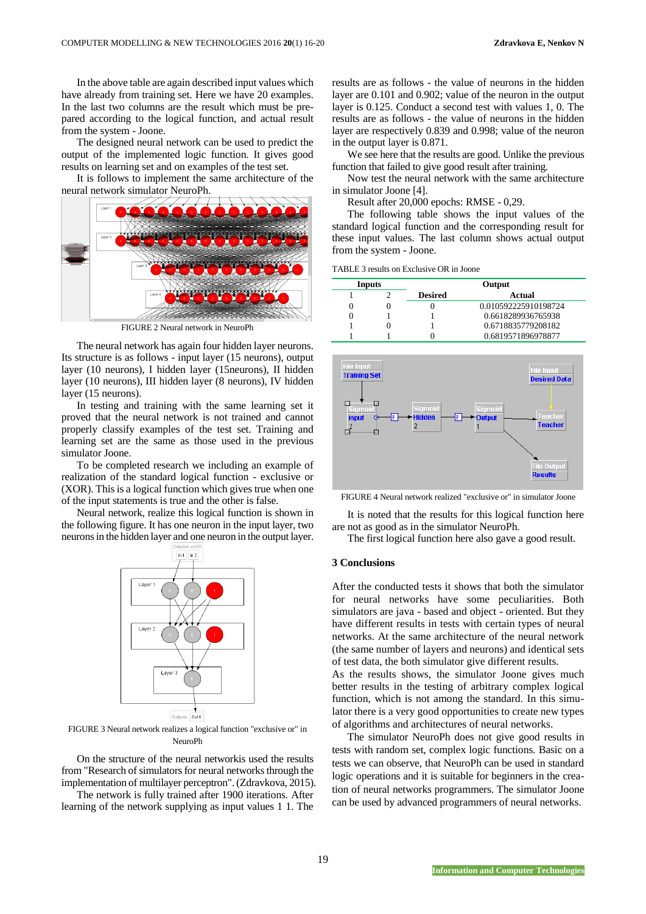In the above table are again described input values which have already from training set. Here we have 20 examples. In the last two columns are the result which must be prepared according to the logical function, and actual result from the system - Joone.

The designed neural network can be used to predict the output of the implemented logic function. It gives good results on learning set and on examples of the test set.

It is follows to implement the same architecture of the neural network simulator NeuroPh.



FIGURE 2 Neural network in NeuroPh

The neural network has again four hidden layer neurons. Its structure is as follows - input layer (15 neurons), output layer (10 neurons), I hidden layer (15neurons), II hidden layer (10 neurons), III hidden layer (8 neurons), IV hidden layer (15 neurons).

In testing and training with the same learning set it proved that the neural network is not trained and cannot properly classify examples of the test set. Training and learning set are the same as those used in the previous simulator Joone.

To be completed research we including an example of realization of the standard logical function - exclusive or (XOR). This is a logical function which gives true when one of the input statements is true and the other is false.

Neural network, realize this logical function is shown in the following figure. It has one neuron in the input layer, two neurons in the hidden layer and one neuron in the output layer.



FIGURE 3 Neural network realizes a logical function "exclusive or" in NeuroPh

On the structure of the neural networkis used the results from "Research of simulators for neural networks through the implementation of multilayer perceptron". (Zdravkova, 2015).

The network is fully trained after 1900 iterations. After learning of the network supplying as input values 1 1. The results are as follows - the value of neurons in the hidden layer are 0.101 and 0.902; value of the neuron in the output layer is 0.125. Conduct a second test with values 1, 0. The results are as follows - the value of neurons in the hidden layer are respectively 0.839 and 0.998; value of the neuron in the output layer is 0.871.

We see here that the results are good. Unlike the previous function that failed to give good result after training.

Now test the neural network with the same architecture in simulator Joone [4].

Result after 20,000 epochs: RMSE - 0,29.

The following table shows the input values of the standard logical function and the corresponding result for these input values. The last column shows actual output from the system - Joone.

TABLE 3 results on Exclusive OR in Joone

| Inputs | Output         |                      |  |  |  |  |  |  |
|--------|----------------|----------------------|--|--|--|--|--|--|
|        | <b>Desired</b> | Actual               |  |  |  |  |  |  |
| 0      |                | 0.010592225910198724 |  |  |  |  |  |  |
| 0      |                | 0.6618289936765938   |  |  |  |  |  |  |
|        |                | 0.6718835779208182   |  |  |  |  |  |  |
|        |                | 0.6819571896978877   |  |  |  |  |  |  |



FIGURE 4 Neural network realized "exclusive or" in simulator Joone

It is noted that the results for this logical function here are not as good as in the simulator NeuroPh.

The first logical function here also gave a good result.

#### **3 Conclusions**

After the conducted tests it shows that both the simulator for neural networks have some peculiarities. Both simulators are java - based and object - oriented. But they have different results in tests with certain types of neural networks. At the same architecture of the neural network (the same number of layers and neurons) and identical sets of test data, the both simulator give different results.

As the results shows, the simulator Joone gives much better results in the testing of arbitrary complex logical function, which is not among the standard. In this simulator there is a very good opportunities to create new types of algorithms and architectures of neural networks.

The simulator NeuroPh does not give good results in tests with random set, complex logic functions. Basic on a tests we can observe, that NeuroPh can be used in standard logic operations and it is suitable for beginners in the creation of neural networks programmers. The simulator Joone can be used by advanced programmers of neural networks.